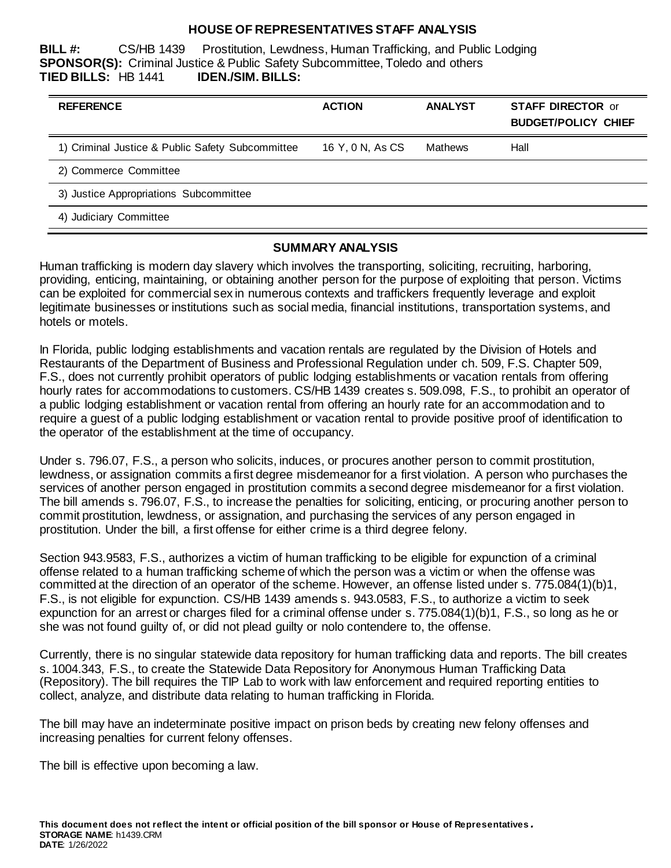#### **HOUSE OF REPRESENTATIVES STAFF ANALYSIS**

**BILL #:** CS/HB 1439 Prostitution, Lewdness, Human Trafficking, and Public Lodging **SPONSOR(S):** Criminal Justice & Public Safety Subcommittee, Toledo and others **TIED BILLS:** HB 1441 **IDEN./SIM. BILLS:**

| <b>REFERENCE</b>                                 | <b>ACTION</b>    | <b>ANALYST</b> | <b>STAFF DIRECTOR or</b><br><b>BUDGET/POLICY CHIEF</b> |
|--------------------------------------------------|------------------|----------------|--------------------------------------------------------|
| 1) Criminal Justice & Public Safety Subcommittee | 16 Y, 0 N, As CS | Mathews        | Hall                                                   |
| 2) Commerce Committee                            |                  |                |                                                        |
| 3) Justice Appropriations Subcommittee           |                  |                |                                                        |
| 4) Judiciary Committee                           |                  |                |                                                        |

### **SUMMARY ANALYSIS**

Human trafficking is modern day slavery which involves the transporting, soliciting, recruiting, harboring, providing, enticing, maintaining, or obtaining another person for the purpose of exploiting that person. Victims can be exploited for commercial sex in numerous contexts and traffickers frequently leverage and exploit legitimate businesses or institutions such as social media, financial institutions, transportation systems, and hotels or motels.

In Florida, public lodging establishments and vacation rentals are regulated by the Division of Hotels and Restaurants of the Department of Business and Professional Regulation under ch. 509, F.S. Chapter 509, F.S., does not currently prohibit operators of public lodging establishments or vacation rentals from offering hourly rates for accommodations to customers. CS/HB 1439 creates s. 509.098, F.S., to prohibit an operator of a public lodging establishment or vacation rental from offering an hourly rate for an accommodation and to require a guest of a public lodging establishment or vacation rental to provide positive proof of identification to the operator of the establishment at the time of occupancy.

Under s. 796.07, F.S., a person who solicits, induces, or procures another person to commit prostitution, lewdness, or assignation commits a first degree misdemeanor for a first violation. A person who purchases the services of another person engaged in prostitution commits a second degree misdemeanor for a first violation. The bill amends s. 796.07, F.S., to increase the penalties for soliciting, enticing, or procuring another person to commit prostitution, lewdness, or assignation, and purchasing the services of any person engaged in prostitution. Under the bill, a first offense for either crime is a third degree felony.

Section 943.9583, F.S., authorizes a victim of human trafficking to be eligible for expunction of a criminal offense related to a human trafficking scheme of which the person was a victim or when the offense was committed at the direction of an operator of the scheme. However, an offense listed under s. 775.084(1)(b)1, F.S., is not eligible for expunction. CS/HB 1439 amends s. 943.0583, F.S., to authorize a victim to seek expunction for an arrest or charges filed for a criminal offense under s. 775.084(1)(b)1, F.S., so long as he or she was not found guilty of, or did not plead guilty or nolo contendere to, the offense.

Currently, there is no singular statewide data repository for human trafficking data and reports. The bill creates s. 1004.343, F.S., to create the Statewide Data Repository for Anonymous Human Trafficking Data (Repository). The bill requires the TIP Lab to work with law enforcement and required reporting entities to collect, analyze, and distribute data relating to human trafficking in Florida.

The bill may have an indeterminate positive impact on prison beds by creating new felony offenses and increasing penalties for current felony offenses.

The bill is effective upon becoming a law.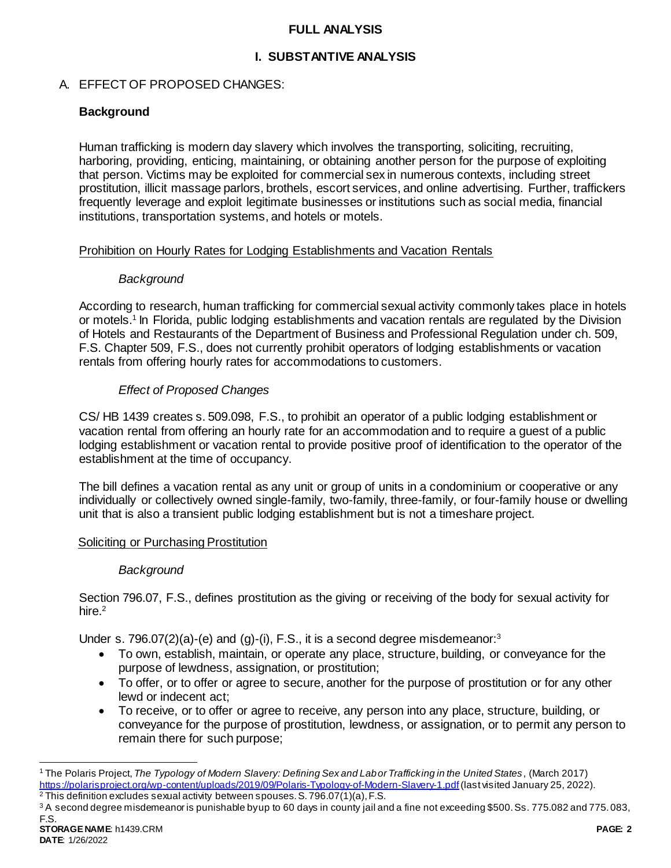### **FULL ANALYSIS**

## **I. SUBSTANTIVE ANALYSIS**

### A. EFFECT OF PROPOSED CHANGES:

## **Background**

Human trafficking is modern day slavery which involves the transporting, soliciting, recruiting, harboring, providing, enticing, maintaining, or obtaining another person for the purpose of exploiting that person. Victims may be exploited for commercial sex in numerous contexts, including street prostitution, illicit massage parlors, brothels, escort services, and online advertising. Further, traffickers frequently leverage and exploit legitimate businesses or institutions such as social media, financial institutions, transportation systems, and hotels or motels.

### Prohibition on Hourly Rates for Lodging Establishments and Vacation Rentals

### *Background*

According to research, human trafficking for commercial sexual activity commonly takes place in hotels or motels.<sup>1</sup> In Florida, public lodging establishments and vacation rentals are regulated by the Division of Hotels and Restaurants of the Department of Business and Professional Regulation under ch. 509, F.S. Chapter 509, F.S., does not currently prohibit operators of lodging establishments or vacation rentals from offering hourly rates for accommodations to customers.

### *Effect of Proposed Changes*

CS/ HB 1439 creates s. 509.098, F.S., to prohibit an operator of a public lodging establishment or vacation rental from offering an hourly rate for an accommodation and to require a guest of a public lodging establishment or vacation rental to provide positive proof of identification to the operator of the establishment at the time of occupancy.

The bill defines a vacation rental as any unit or group of units in a condominium or cooperative or any individually or collectively owned single-family, two-family, three-family, or four-family house or dwelling unit that is also a transient public lodging establishment but is not a timeshare project.

### Soliciting or Purchasing Prostitution

### *Background*

Section 796.07, F.S., defines prostitution as the giving or receiving of the body for sexual activity for hire.<sup>2</sup>

Under s. 796.07(2)(a)-(e) and (g)-(i), F.S., it is a second degree misdemeanor:<sup>3</sup>

- To own, establish, maintain, or operate any place, structure, building, or conveyance for the purpose of lewdness, assignation, or prostitution;
- To offer, or to offer or agree to secure, another for the purpose of prostitution or for any other lewd or indecent act;
- To receive, or to offer or agree to receive, any person into any place, structure, building, or conveyance for the purpose of prostitution, lewdness, or assignation, or to permit any person to remain there for such purpose;

l

<sup>1</sup> The Polaris Project, *The Typology of Modern Slavery: Defining Sex and Labor Trafficking in the United States*, (March 2017) <https://polarisproject.org/wp-content/uploads/2019/09/Polaris-Typology-of-Modern-Slavery-1.pdf>(last visited January 25, 2022).

 $2$  This definition excludes sexual activity between spouses. S. 796.07(1)(a), F.S.

**STORAGE NAME**: h1439.CRM **PAGE: 2** <sup>3</sup> A second degree misdemeanor is punishable by up to 60 days in county jail and a fine not exceeding \$500. Ss. 775.082 and 775.083, F.S.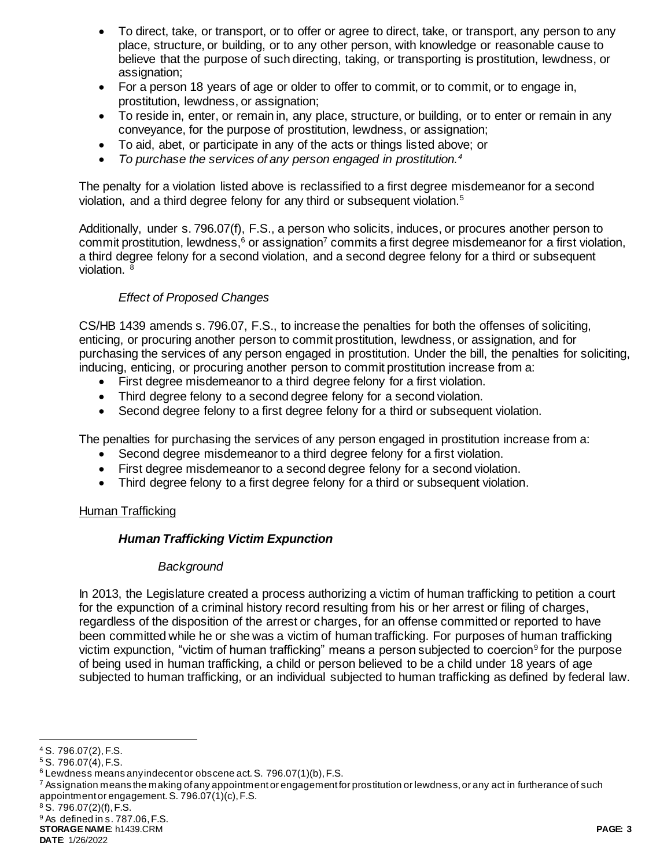- To direct, take, or transport, or to offer or agree to direct, take, or transport, any person to any place, structure, or building, or to any other person, with knowledge or reasonable cause to believe that the purpose of such directing, taking, or transporting is prostitution, lewdness, or assignation;
- For a person 18 years of age or older to offer to commit, or to commit, or to engage in, prostitution, lewdness, or assignation;
- To reside in, enter, or remain in, any place, structure, or building, or to enter or remain in any conveyance, for the purpose of prostitution, lewdness, or assignation;
- To aid, abet, or participate in any of the acts or things listed above; or
- *To purchase the services of any person engaged in prostitution.<sup>4</sup>*

The penalty for a violation listed above is reclassified to a first degree misdemeanor for a second violation, and a third degree felony for any third or subsequent violation.<sup>5</sup>

Additionally, under s. 796.07(f), F.S., a person who solicits, induces, or procures another person to commit prostitution, lewdness,<sup>6</sup> or assignation<sup>7</sup> commits a first degree misdemeanor for a first violation, a third degree felony for a second violation, and a second degree felony for a third or subsequent violation. <sup>8</sup>

# *Effect of Proposed Changes*

CS/HB 1439 amends s. 796.07, F.S., to increase the penalties for both the offenses of soliciting, enticing, or procuring another person to commit prostitution, lewdness, or assignation, and for purchasing the services of any person engaged in prostitution. Under the bill, the penalties for soliciting, inducing, enticing, or procuring another person to commit prostitution increase from a:

- First degree misdemeanor to a third degree felony for a first violation.
- Third degree felony to a second degree felony for a second violation.
- Second degree felony to a first degree felony for a third or subsequent violation.

The penalties for purchasing the services of any person engaged in prostitution increase from a:

- Second degree misdemeanor to a third degree felony for a first violation.
- First degree misdemeanor to a second degree felony for a second violation.
- Third degree felony to a first degree felony for a third or subsequent violation.

## Human Trafficking

## *Human Trafficking Victim Expunction*

### *Background*

In 2013, the Legislature created a process authorizing a victim of human trafficking to petition a court for the expunction of a criminal history record resulting from his or her arrest or filing of charges, regardless of the disposition of the arrest or charges, for an offense committed or reported to have been committed while he or she was a victim of human trafficking. For purposes of human trafficking victim expunction, "victim of human trafficking" means a person subjected to coercion<sup>9</sup> for the purpose of being used in human trafficking, a child or person believed to be a child under 18 years of age subjected to human trafficking, or an individual subjected to human trafficking as defined by federal law.

l

 $8$  S. 796.07(2)(f), F.S.

**STORAGE NAME**: h1439.CRM **PAGE: 3 DATE**: 1/26/2022

<sup>4</sup> S. 796.07(2), F.S.

<sup>5</sup> S. 796.07(4), F.S.

<sup>6</sup> Lewdness means any indecent or obscene act. S. 796.07(1)(b), F.S.

 $^7$  Assignation means the making of any appointment or engagement for prostitution or lewdness, or any act in furtherance of such appointment or engagement. S. 796.07(1)(c), F.S.

<sup>9</sup> As defined in s. 787.06, F.S.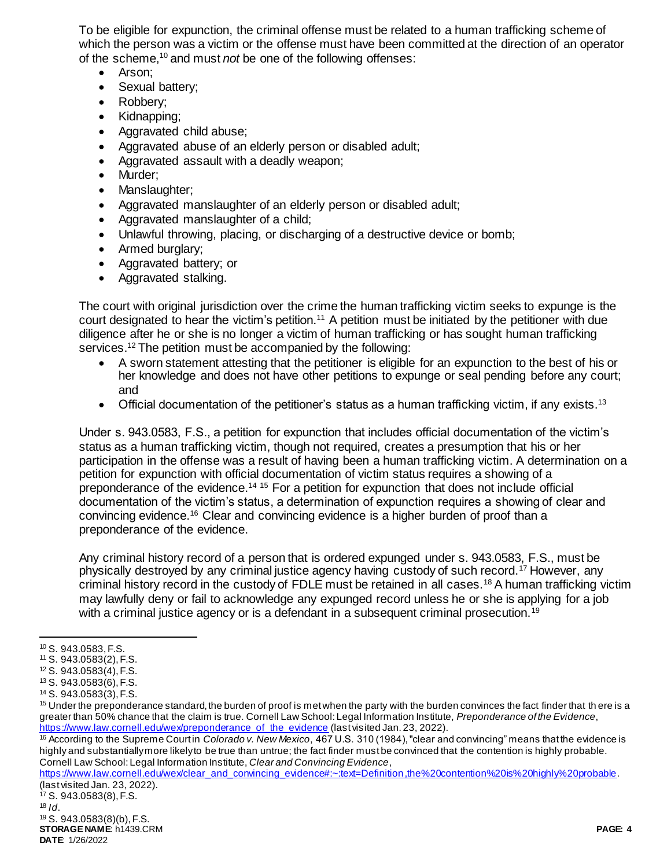To be eligible for expunction, the criminal offense must be related to a human trafficking scheme of which the person was a victim or the offense must have been committed at the direction of an operator of the scheme,<sup>10</sup> and must *not* be one of the following offenses:

- Arson:
- Sexual battery:
- Robbery;
- Kidnapping;
- Aggravated child abuse;
- Aggravated abuse of an elderly person or disabled adult;
- Aggravated assault with a deadly weapon;
- Murder;
- Manslaughter;
- Aggravated manslaughter of an elderly person or disabled adult;
- Aggravated manslaughter of a child;
- Unlawful throwing, placing, or discharging of a destructive device or bomb;
- Armed burglary:
- Aggravated battery; or
- Aggravated stalking.

The court with original jurisdiction over the crime the human trafficking victim seeks to expunge is the court designated to hear the victim's petition.<sup>11</sup> A petition must be initiated by the petitioner with due diligence after he or she is no longer a victim of human trafficking or has sought human trafficking services.<sup>12</sup> The petition must be accompanied by the following:

- A sworn statement attesting that the petitioner is eligible for an expunction to the best of his or her knowledge and does not have other petitions to expunge or seal pending before any court; and
- $\bullet$  Official documentation of the petitioner's status as a human trafficking victim, if any exists.<sup>13</sup>

Under s. 943.0583, F.S., a petition for expunction that includes official documentation of the victim's status as a human trafficking victim, though not required, creates a presumption that his or her participation in the offense was a result of having been a human trafficking victim. A determination on a petition for expunction with official documentation of victim status requires a showing of a preponderance of the evidence.<sup>14 15</sup> For a petition for expunction that does not include official documentation of the victim's status, a determination of expunction requires a showing of clear and convincing evidence.<sup>16</sup> Clear and convincing evidence is a higher burden of proof than a preponderance of the evidence.

Any criminal history record of a person that is ordered expunged under s. 943.0583, F.S., must be physically destroyed by any criminal justice agency having custody of such record.<sup>17</sup> However, any criminal history record in the custody of FDLE must be retained in all cases.<sup>18</sup> A human trafficking victim may lawfully deny or fail to acknowledge any expunged record unless he or she is applying for a job with a criminal justice agency or is a defendant in a subsequent criminal prosecution.<sup>19</sup>

 $\overline{a}$ 

[https://www.law.cornell.edu/wex/clear\\_and\\_convincing\\_evidence#:~:text=Definition,the%20contention%20is%20highly%20probable](https://www.law.cornell.edu/wex/clear_and_convincing_evidence#:~:text=Definition,the%20contention%20is%20highly%20probable). (last visited Jan. 23, 2022).

**STORAGE NAME**: h1439.CRM **PAGE: 4 DATE**: 1/26/2022 <sup>17</sup> S. 943.0583(8), F.S.  $18$  *Id.* <sup>19</sup> S. 943.0583(8)(b), F.S.

<sup>10</sup> S. 943.0583, F.S.

<sup>11</sup> S. 943.0583(2), F.S.

<sup>12</sup> S. 943.0583(4), F.S. <sup>13</sup> S. 943.0583(6), F.S.

<sup>14</sup> S. 943.0583(3), F.S.

<sup>&</sup>lt;sup>15</sup> Under the preponderance standard, the burden of proof is met when the party with the burden convinces the fact finder that there is a greater than 50% chance that the claim is true. Cornell Law School: Legal Information Institute, *Preponderance of the Evidence*, [https://www.law.cornell.edu/wex/preponderance\\_of\\_the\\_evidence](https://www.law.cornell.edu/wex/preponderance_of_the_evidence) (last visited Jan. 23, 2022).

<sup>16</sup> According to the Supreme Court in *Colorado v. New Mexico*, 467 U.S. 310 (1984), "clear and convincing" means that the evidence is highly and substantially more likely to be true than untrue; the fact finder must be convinced that the contention is highly probable. Cornell Law School: Legal Information Institute, *Clear and Convincing Evidence*,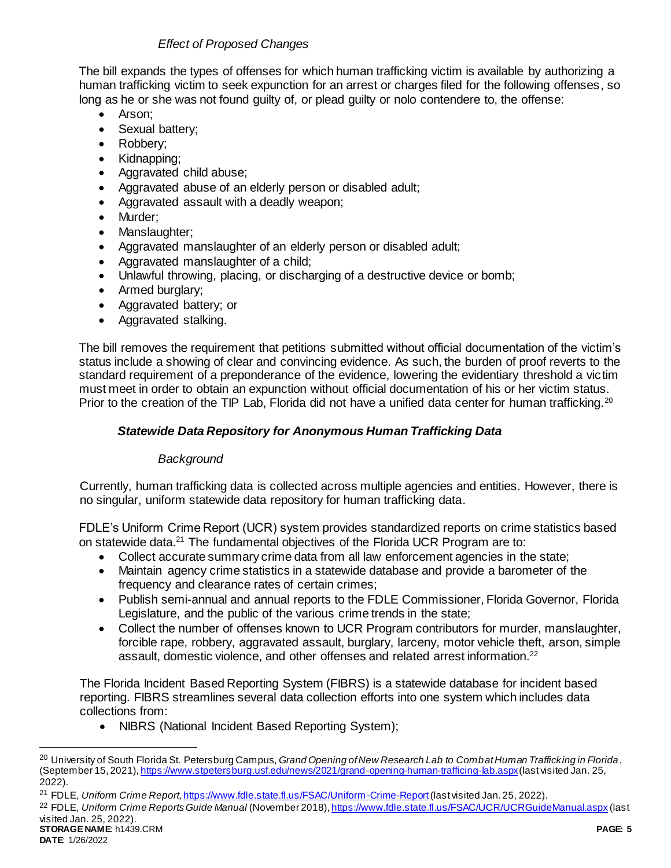## *Effect of Proposed Changes*

The bill expands the types of offenses for which human trafficking victim is available by authorizing a human trafficking victim to seek expunction for an arrest or charges filed for the following offenses, so long as he or she was not found guilty of, or plead guilty or nolo contendere to, the offense:

- Arson:
- Sexual battery;
- Robbery;
- Kidnapping:
- Aggravated child abuse;
- Aggravated abuse of an elderly person or disabled adult;
- Aggravated assault with a deadly weapon;
- Murder;
- Manslaughter;
- Aggravated manslaughter of an elderly person or disabled adult;
- Aggravated manslaughter of a child;
- Unlawful throwing, placing, or discharging of a destructive device or bomb;
- Armed burglary;
- Aggravated battery; or
- Aggravated stalking.

The bill removes the requirement that petitions submitted without official documentation of the victim's status include a showing of clear and convincing evidence. As such, the burden of proof reverts to the standard requirement of a preponderance of the evidence, lowering the evidentiary threshold a victim must meet in order to obtain an expunction without official documentation of his or her victim status. Prior to the creation of the TIP Lab, Florida did not have a unified data center for human trafficking.<sup>20</sup>

# *Statewide Data Repository for Anonymous Human Trafficking Data*

## *Background*

Currently, human trafficking data is collected across multiple agencies and entities. However, there is no singular, uniform statewide data repository for human trafficking data.

FDLE's Uniform Crime Report (UCR) system provides standardized reports on crime statistics based on statewide data.<sup>21</sup> The fundamental objectives of the Florida UCR Program are to:

- Collect accurate summary crime data from all law enforcement agencies in the state;
- Maintain agency crime statistics in a statewide database and provide a barometer of the frequency and clearance rates of certain crimes;
- Publish semi-annual and annual reports to the FDLE Commissioner, Florida Governor, Florida Legislature, and the public of the various crime trends in the state;
- Collect the number of offenses known to UCR Program contributors for murder, manslaughter, forcible rape, robbery, aggravated assault, burglary, larceny, motor vehicle theft, arson, simple assault, domestic violence, and other offenses and related arrest information.<sup>22</sup>

The Florida Incident Based Reporting System (FIBRS) is a statewide database for incident based reporting. FIBRS streamlines several data collection efforts into one system which includes data collections from:

• NIBRS (National Incident Based Reporting System);

l

<sup>20</sup> University of South Florida St. Petersburg Campus, *Grand Opening of New Research Lab to Combat Human Trafficking in Florida*, (September 15, 2021)[, https://www.stpetersburg.usf.edu/news/2021/grand-opening-human-trafficing-lab.aspx](https://www.stpetersburg.usf.edu/news/2021/grand-opening-human-trafficing-lab.aspx)(last visited Jan. 25, 2022).

<sup>21</sup> FDLE, *Uniform Crime Report*[, https://www.fdle.state.fl.us/FSAC/Uniform-Crime-Report](https://www.fdle.state.fl.us/FSAC/Uniform-Crime-Report)(last visited Jan. 25, 2022).

**STORAGE NAME**: h1439.CRM **PAGE: 5** <sup>22</sup> FDLE, *Uniform Crime Reports Guide Manual* (November 2018)[, https://www.fdle.state.fl.us/FSAC/UCR/UCRGuideManual.aspx](https://www.fdle.state.fl.us/FSAC/UCR/UCRGuideManual.aspx) (last visited Jan. 25, 2022).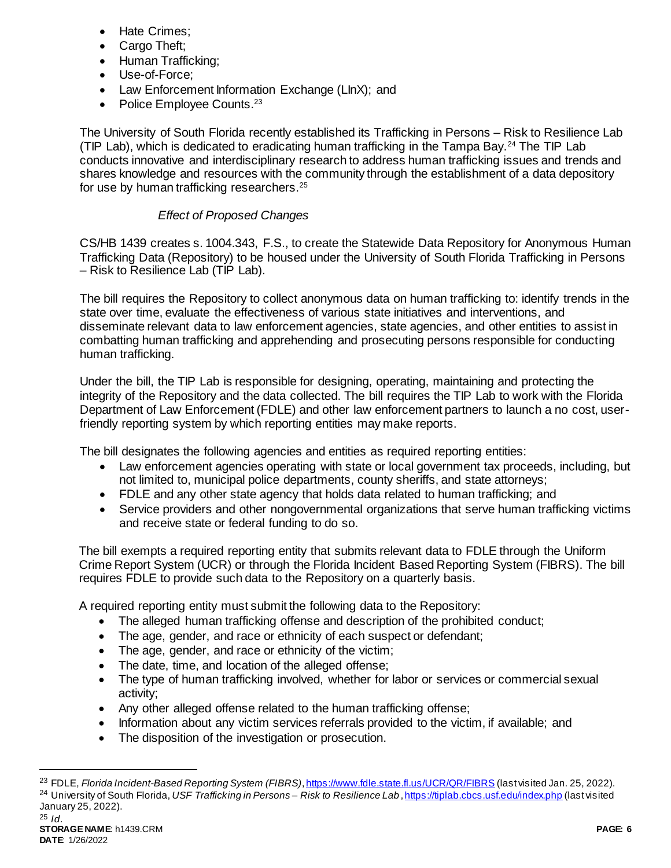- Hate Crimes;
- Cargo Theft;
- Human Trafficking:
- Use-of-Force;
- Law Enforcement Information Exchange (LInX); and
- Police Employee Counts. $23$

The University of South Florida recently established its Trafficking in Persons – Risk to Resilience Lab (TIP Lab), which is dedicated to eradicating human trafficking in the Tampa Bay.<sup>24</sup> The TIP Lab conducts innovative and interdisciplinary research to address human trafficking issues and trends and shares knowledge and resources with the community through the establishment of a data depository for use by human trafficking researchers.<sup>25</sup>

### *Effect of Proposed Changes*

CS/HB 1439 creates s. 1004.343, F.S., to create the Statewide Data Repository for Anonymous Human Trafficking Data (Repository) to be housed under the University of South Florida Trafficking in Persons – Risk to Resilience Lab (TIP Lab).

The bill requires the Repository to collect anonymous data on human trafficking to: identify trends in the state over time, evaluate the effectiveness of various state initiatives and interventions, and disseminate relevant data to law enforcement agencies, state agencies, and other entities to assist in combatting human trafficking and apprehending and prosecuting persons responsible for conducting human trafficking.

Under the bill, the TIP Lab is responsible for designing, operating, maintaining and protecting the integrity of the Repository and the data collected. The bill requires the TIP Lab to work with the Florida Department of Law Enforcement (FDLE) and other law enforcement partners to launch a no cost, userfriendly reporting system by which reporting entities may make reports.

The bill designates the following agencies and entities as required reporting entities:

- Law enforcement agencies operating with state or local government tax proceeds, including, but not limited to, municipal police departments, county sheriffs, and state attorneys;
- FDLE and any other state agency that holds data related to human trafficking; and
- Service providers and other nongovernmental organizations that serve human trafficking victims and receive state or federal funding to do so.

The bill exempts a required reporting entity that submits relevant data to FDLE through the Uniform Crime Report System (UCR) or through the Florida Incident Based Reporting System (FIBRS). The bill requires FDLE to provide such data to the Repository on a quarterly basis.

A required reporting entity must submit the following data to the Repository:

- The alleged human trafficking offense and description of the prohibited conduct;
- The age, gender, and race or ethnicity of each suspect or defendant;
- The age, gender, and race or ethnicity of the victim;
- The date, time, and location of the alleged offense;
- The type of human trafficking involved, whether for labor or services or commercial sexual activity;
- Any other alleged offense related to the human trafficking offense;
- Information about any victim services referrals provided to the victim, if available; and
- The disposition of the investigation or prosecution.

l

<sup>23</sup> FDLE, *Florida Incident-Based Reporting System (FIBRS)*[, https://www.fdle.state.fl.us/UCR/QR/FIBRS](https://www.fdle.state.fl.us/UCR/QR/FIBRS) (last visited Jan. 25, 2022). <sup>24</sup> University of South Florida, *USF Trafficking in Persons – Risk to Resilience Lab* [, https://tiplab.cbcs.usf.edu/index.php](https://tiplab.cbcs.usf.edu/index.php) (last visited January 25, 2022). <sup>25</sup> *Id*.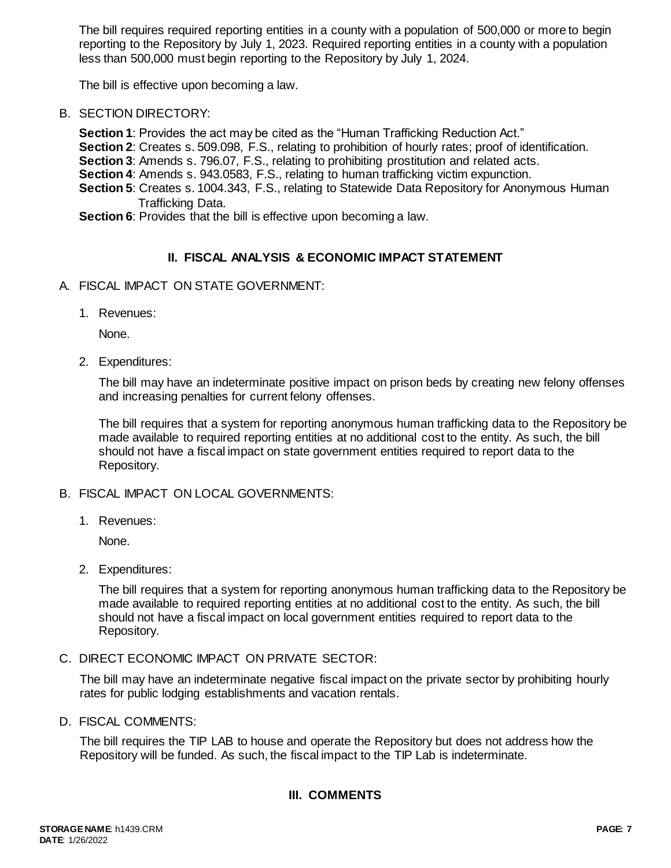The bill requires required reporting entities in a county with a population of 500,000 or more to begin reporting to the Repository by July 1, 2023. Required reporting entities in a county with a population less than 500,000 must begin reporting to the Repository by July 1, 2024.

The bill is effective upon becoming a law.

B. SECTION DIRECTORY:

**Section 1**: Provides the act may be cited as the "Human Trafficking Reduction Act."

- **Section 2**: Creates s. 509.098, F.S., relating to prohibition of hourly rates; proof of identification.
- **Section 3**: Amends s. 796.07, F.S., relating to prohibiting prostitution and related acts.
- **Section 4**: Amends s. 943.0583, F.S., relating to human trafficking victim expunction.
- **Section 5**: Creates s. 1004.343, F.S., relating to Statewide Data Repository for Anonymous Human Trafficking Data.

**Section 6**: Provides that the bill is effective upon becoming a law.

### **II. FISCAL ANALYSIS & ECONOMIC IMPACT STATEMENT**

- A. FISCAL IMPACT ON STATE GOVERNMENT:
	- 1. Revenues:

None.

2. Expenditures:

The bill may have an indeterminate positive impact on prison beds by creating new felony offenses and increasing penalties for current felony offenses.

The bill requires that a system for reporting anonymous human trafficking data to the Repository be made available to required reporting entities at no additional cost to the entity. As such, the bill should not have a fiscal impact on state government entities required to report data to the Repository.

- B. FISCAL IMPACT ON LOCAL GOVERNMENTS:
	- 1. Revenues:

None.

2. Expenditures:

The bill requires that a system for reporting anonymous human trafficking data to the Repository be made available to required reporting entities at no additional cost to the entity. As such, the bill should not have a fiscal impact on local government entities required to report data to the Repository.

C. DIRECT ECONOMIC IMPACT ON PRIVATE SECTOR:

The bill may have an indeterminate negative fiscal impact on the private sector by prohibiting hourly rates for public lodging establishments and vacation rentals.

D. FISCAL COMMENTS:

The bill requires the TIP LAB to house and operate the Repository but does not address how the Repository will be funded. As such, the fiscal impact to the TIP Lab is indeterminate.

### **III. COMMENTS**